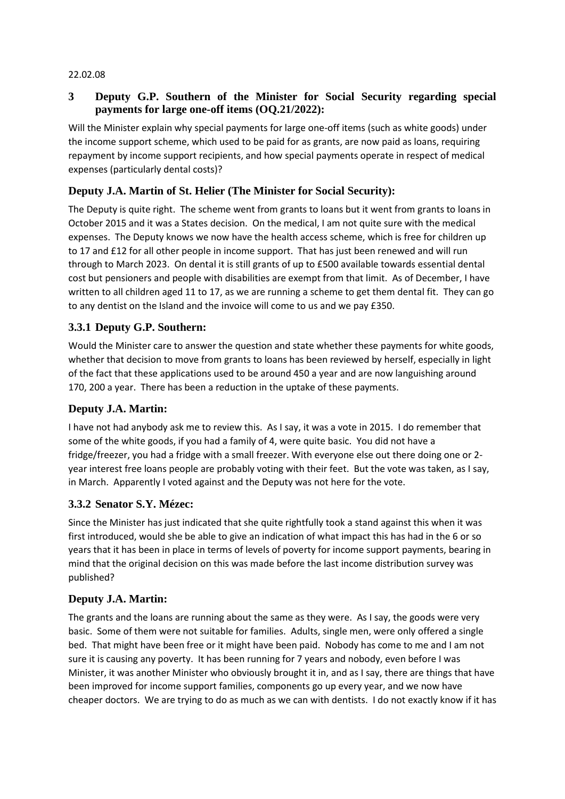#### 22.02.08

## **3 Deputy G.P. Southern of the Minister for Social Security regarding special payments for large one-off items (OQ.21/2022):**

Will the Minister explain why special payments for large one-off items (such as white goods) under the income support scheme, which used to be paid for as grants, are now paid as loans, requiring repayment by income support recipients, and how special payments operate in respect of medical expenses (particularly dental costs)?

## **Deputy J.A. Martin of St. Helier (The Minister for Social Security):**

The Deputy is quite right. The scheme went from grants to loans but it went from grants to loans in October 2015 and it was a States decision. On the medical, I am not quite sure with the medical expenses. The Deputy knows we now have the health access scheme, which is free for children up to 17 and £12 for all other people in income support. That has just been renewed and will run through to March 2023. On dental it is still grants of up to £500 available towards essential dental cost but pensioners and people with disabilities are exempt from that limit. As of December, I have written to all children aged 11 to 17, as we are running a scheme to get them dental fit. They can go to any dentist on the Island and the invoice will come to us and we pay £350.

# **3.3.1 Deputy G.P. Southern:**

Would the Minister care to answer the question and state whether these payments for white goods, whether that decision to move from grants to loans has been reviewed by herself, especially in light of the fact that these applications used to be around 450 a year and are now languishing around 170, 200 a year. There has been a reduction in the uptake of these payments.

### **Deputy J.A. Martin:**

I have not had anybody ask me to review this. As I say, it was a vote in 2015. I do remember that some of the white goods, if you had a family of 4, were quite basic. You did not have a fridge/freezer, you had a fridge with a small freezer. With everyone else out there doing one or 2 year interest free loans people are probably voting with their feet. But the vote was taken, as I say, in March. Apparently I voted against and the Deputy was not here for the vote.

### **3.3.2 Senator S.Y. Mézec:**

Since the Minister has just indicated that she quite rightfully took a stand against this when it was first introduced, would she be able to give an indication of what impact this has had in the 6 or so years that it has been in place in terms of levels of poverty for income support payments, bearing in mind that the original decision on this was made before the last income distribution survey was published?

### **Deputy J.A. Martin:**

The grants and the loans are running about the same as they were. As I say, the goods were very basic. Some of them were not suitable for families. Adults, single men, were only offered a single bed. That might have been free or it might have been paid. Nobody has come to me and I am not sure it is causing any poverty. It has been running for 7 years and nobody, even before I was Minister, it was another Minister who obviously brought it in, and as I say, there are things that have been improved for income support families, components go up every year, and we now have cheaper doctors. We are trying to do as much as we can with dentists. I do not exactly know if it has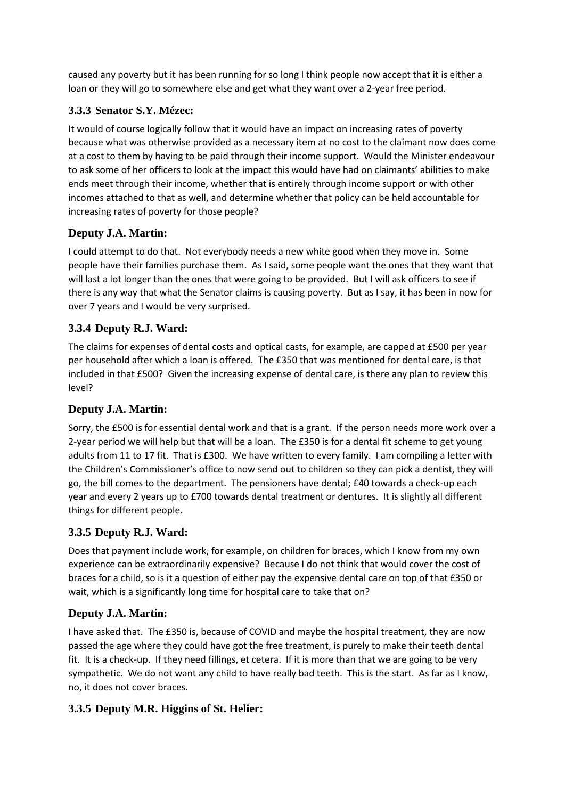caused any poverty but it has been running for so long I think people now accept that it is either a loan or they will go to somewhere else and get what they want over a 2-year free period.

# **3.3.3 Senator S.Y. Mézec:**

It would of course logically follow that it would have an impact on increasing rates of poverty because what was otherwise provided as a necessary item at no cost to the claimant now does come at a cost to them by having to be paid through their income support. Would the Minister endeavour to ask some of her officers to look at the impact this would have had on claimants' abilities to make ends meet through their income, whether that is entirely through income support or with other incomes attached to that as well, and determine whether that policy can be held accountable for increasing rates of poverty for those people?

# **Deputy J.A. Martin:**

I could attempt to do that. Not everybody needs a new white good when they move in. Some people have their families purchase them. As I said, some people want the ones that they want that will last a lot longer than the ones that were going to be provided. But I will ask officers to see if there is any way that what the Senator claims is causing poverty. But as I say, it has been in now for over 7 years and I would be very surprised.

# **3.3.4 Deputy R.J. Ward:**

The claims for expenses of dental costs and optical casts, for example, are capped at £500 per year per household after which a loan is offered. The £350 that was mentioned for dental care, is that included in that £500? Given the increasing expense of dental care, is there any plan to review this level?

# **Deputy J.A. Martin:**

Sorry, the £500 is for essential dental work and that is a grant. If the person needs more work over a 2-year period we will help but that will be a loan. The £350 is for a dental fit scheme to get young adults from 11 to 17 fit. That is £300. We have written to every family. I am compiling a letter with the Children's Commissioner's office to now send out to children so they can pick a dentist, they will go, the bill comes to the department. The pensioners have dental; £40 towards a check-up each year and every 2 years up to £700 towards dental treatment or dentures. It is slightly all different things for different people.

# **3.3.5 Deputy R.J. Ward:**

Does that payment include work, for example, on children for braces, which I know from my own experience can be extraordinarily expensive? Because I do not think that would cover the cost of braces for a child, so is it a question of either pay the expensive dental care on top of that £350 or wait, which is a significantly long time for hospital care to take that on?

# **Deputy J.A. Martin:**

I have asked that. The £350 is, because of COVID and maybe the hospital treatment, they are now passed the age where they could have got the free treatment, is purely to make their teeth dental fit. It is a check-up. If they need fillings, et cetera. If it is more than that we are going to be very sympathetic. We do not want any child to have really bad teeth. This is the start. As far as I know, no, it does not cover braces.

# **3.3.5 Deputy M.R. Higgins of St. Helier:**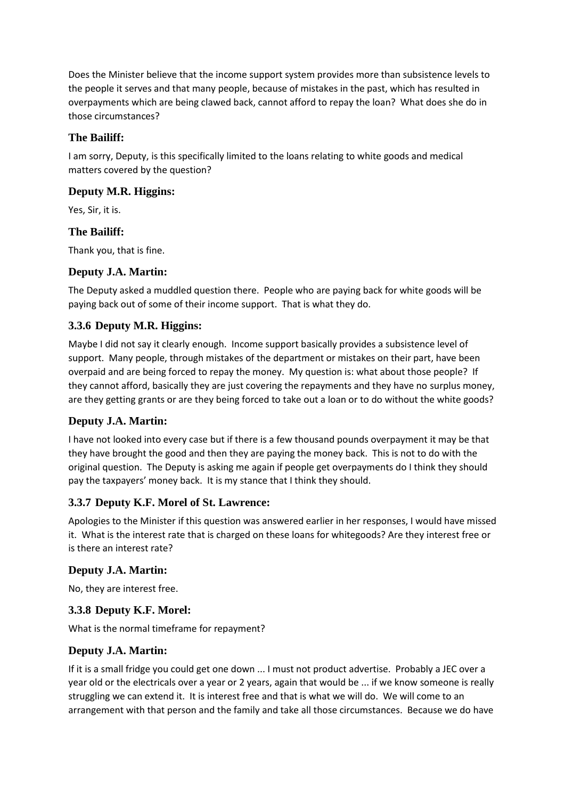Does the Minister believe that the income support system provides more than subsistence levels to the people it serves and that many people, because of mistakes in the past, which has resulted in overpayments which are being clawed back, cannot afford to repay the loan? What does she do in those circumstances?

## **The Bailiff:**

I am sorry, Deputy, is this specifically limited to the loans relating to white goods and medical matters covered by the question?

### **Deputy M.R. Higgins:**

Yes, Sir, it is.

#### **The Bailiff:**

Thank you, that is fine.

#### **Deputy J.A. Martin:**

The Deputy asked a muddled question there. People who are paying back for white goods will be paying back out of some of their income support. That is what they do.

# **3.3.6 Deputy M.R. Higgins:**

Maybe I did not say it clearly enough. Income support basically provides a subsistence level of support. Many people, through mistakes of the department or mistakes on their part, have been overpaid and are being forced to repay the money. My question is: what about those people? If they cannot afford, basically they are just covering the repayments and they have no surplus money, are they getting grants or are they being forced to take out a loan or to do without the white goods?

### **Deputy J.A. Martin:**

I have not looked into every case but if there is a few thousand pounds overpayment it may be that they have brought the good and then they are paying the money back. This is not to do with the original question. The Deputy is asking me again if people get overpayments do I think they should pay the taxpayers' money back. It is my stance that I think they should.

### **3.3.7 Deputy K.F. Morel of St. Lawrence:**

Apologies to the Minister if this question was answered earlier in her responses, I would have missed it. What is the interest rate that is charged on these loans for whitegoods? Are they interest free or is there an interest rate?

### **Deputy J.A. Martin:**

No, they are interest free.

### **3.3.8 Deputy K.F. Morel:**

What is the normal timeframe for repayment?

### **Deputy J.A. Martin:**

If it is a small fridge you could get one down ... I must not product advertise. Probably a JEC over a year old or the electricals over a year or 2 years, again that would be ... if we know someone is really struggling we can extend it. It is interest free and that is what we will do. We will come to an arrangement with that person and the family and take all those circumstances. Because we do have